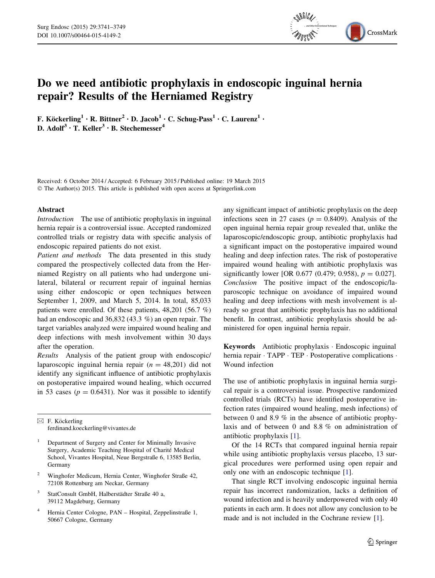

# Do we need antibiotic prophylaxis in endoscopic inguinal hernia repair? Results of the Herniamed Registry

F. Köckerling<sup>1</sup> • R. Bittner<sup>2</sup> • D. Jacob<sup>1</sup> • C. Schug-Pass<sup>1</sup> • C. Laurenz<sup>1</sup> • D.  $\text{Adol} \mathfrak{h}^3 \cdot \text{T}$ . Keller $^3 \cdot \text{B}$ . Stechemesser<sup>4</sup>

Received: 6 October 2014 / Accepted: 6 February 2015 / Published online: 19 March 2015 © The Author(s) 2015. This article is published with open access at Springerlink.com

#### Abstract

Introduction The use of antibiotic prophylaxis in inguinal hernia repair is a controversial issue. Accepted randomized controlled trials or registry data with specific analysis of endoscopic repaired patients do not exist.

Patient and methods The data presented in this study compared the prospectively collected data from the Herniamed Registry on all patients who had undergone unilateral, bilateral or recurrent repair of inguinal hernias using either endoscopic or open techniques between September 1, 2009, and March 5, 2014. In total, 85,033 patients were enrolled. Of these patients, 48,201 (56.7 %) had an endoscopic and 36,832 (43.3 %) an open repair. The target variables analyzed were impaired wound healing and deep infections with mesh involvement within 30 days after the operation.

Results Analysis of the patient group with endoscopic/ laparoscopic inguinal hernia repair  $(n = 48,201)$  did not identify any significant influence of antibiotic prophylaxis on postoperative impaired wound healing, which occurred in 53 cases ( $p = 0.6431$ ). Nor was it possible to identify

 $\boxtimes$  F. Köckerling ferdinand.koeckerling@vivantes.de

- <sup>1</sup> Department of Surgery and Center for Minimally Invasive Surgery, Academic Teaching Hospital of Charité Medical School, Vivantes Hospital, Neue Bergstraße 6, 13585 Berlin, Germany
- <sup>2</sup> Winghofer Medicum, Hernia Center, Winghofer Straße 42, 72108 Rottenburg am Neckar, Germany
- StatConsult GmbH, Halberstädter Straße 40 a, 39112 Magdeburg, Germany
- <sup>4</sup> Hernia Center Cologne, PAN Hospital, Zeppelinstraße 1, 50667 Cologne, Germany

any significant impact of antibiotic prophylaxis on the deep infections seen in 27 cases ( $p = 0.8409$ ). Analysis of the open inguinal hernia repair group revealed that, unlike the laparoscopic/endoscopic group, antibiotic prophylaxis had a significant impact on the postoperative impaired wound healing and deep infection rates. The risk of postoperative impaired wound healing with antibiotic prophylaxis was significantly lower [OR 0.677 (0.479; 0.958),  $p = 0.027$ ]. Conclusion The positive impact of the endoscopic/laparoscopic technique on avoidance of impaired wound healing and deep infections with mesh involvement is already so great that antibiotic prophylaxis has no additional benefit. In contrast, antibiotic prophylaxis should be administered for open inguinal hernia repair.

Keywords Antibiotic prophylaxis - Endoscopic inguinal hernia repair · TAPP · TEP · Postoperative complications · Wound infection

The use of antibiotic prophylaxis in inguinal hernia surgical repair is a controversial issue. Prospective randomized controlled trials (RCTs) have identified postoperative infection rates (impaired wound healing, mesh infections) of between 0 and 8.9 % in the absence of antibiotic prophylaxis and of between 0 and 8.8 % on administration of antibiotic prophylaxis [\[1](#page-7-0)].

Of the 14 RCTs that compared inguinal hernia repair while using antibiotic prophylaxis versus placebo, 13 surgical procedures were performed using open repair and only one with an endoscopic technique [[1\]](#page-7-0).

That single RCT involving endoscopic inguinal hernia repair has incorrect randomization, lacks a definition of wound infection and is heavily underpowered with only 40 patients in each arm. It does not allow any conclusion to be made and is not included in the Cochrane review [\[1](#page-7-0)].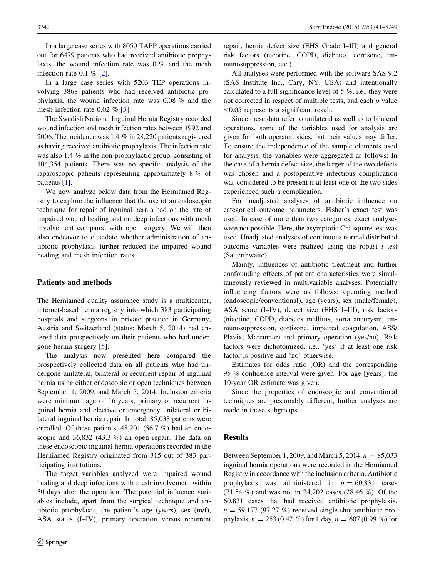In a large case series with 8050 TAPP operations carried out for 6479 patients who had received antibiotic prophylaxis, the wound infection rate was 0 % and the mesh infection rate 0.1 % [\[2](#page-7-0)].

In a large case series with 5203 TEP operations involving 3868 patients who had received antibiotic prophylaxis, the wound infection rate was 0.08 % and the mesh infection rate 0.02 % [[3\]](#page-8-0).

The Swedish National Inguinal Hernia Registry recorded wound infection and mesh infection rates between 1992 and 2006. The incidence was 1.4 % in 28,220 patients registered as having received antibiotic prophylaxis. The infection rate was also 1.4 % in the non-prophylactic group, consisting of 104,354 patients. There was no specific analysis of the laparoscopic patients representing approximately 8 % of patients [\[1](#page-7-0)].

We now analyze below data from the Herniamed Registry to explore the influence that the use of an endoscopic technique for repair of inguinal hernia had on the rate of impaired wound healing and on deep infections with mesh involvement compared with open surgery. We will then also endeavor to elucidate whether administration of antibiotic prophylaxis further reduced the impaired wound healing and mesh infection rates.

## Patients and methods

The Herniamed quality assurance study is a multicenter, internet-based hernia registry into which 383 participating hospitals and surgeons in private practice in Germany, Austria and Switzerland (status: March 5, 2014) had entered data prospectively on their patients who had undergone hernia surgery [[5\]](#page-8-0).

The analysis now presented here compared the prospectively collected data on all patients who had undergone unilateral, bilateral or recurrent repair of inguinal hernia using either endoscopic or open techniques between September 1, 2009, and March 5, 2014. Inclusion criteria were minimum age of 16 years, primary or recurrent inguinal hernia and elective or emergency unilateral or bilateral inguinal hernia repair. In total, 85,033 patients were enrolled. Of these patients, 48,201 (56.7 %) had an endoscopic and 36,832 (43.3 %) an open repair. The data on these endoscopic inguinal hernia operations recorded in the Herniamed Registry originated from 315 out of 383 participating institutions.

The target variables analyzed were impaired wound healing and deep infections with mesh involvement within 30 days after the operation. The potential influence variables include, apart from the surgical technique and antibiotic prophylaxis, the patient's age (years), sex (m/f), ASA status (I–IV), primary operation versus recurrent repair, hernia defect size (EHS Grade I–III) and general risk factors (nicotine, COPD, diabetes, cortisone, immunosuppression, etc.).

All analyses were performed with the software SAS 9.2 (SAS Institute Inc., Cary, NY, USA) and intentionally calculated to a full significance level of 5 %, i.e., they were not corrected in respect of multiple tests, and each  $p$  value  $\leq$ 0.05 represents a significant result.

Since these data refer to unilateral as well as to bilateral operations, some of the variables used for analysis are given for both operated sides, but their values may differ. To ensure the independence of the sample elements used for analysis, the variables were aggregated as follows: In the case of a hernia defect size, the larger of the two defects was chosen and a postoperative infectious complication was considered to be present if at least one of the two sides experienced such a complication.

For unadjusted analyses of antibiotic influence on categorical outcome parameters, Fisher's exact test was used. In case of more than two categories, exact analyses were not possible. Here, the asymptotic Chi-square test was used. Unadjusted analyses of continuous normal distributed outcome variables were realized using the robust  $t$  test (Satterthwaite).

Mainly, influences of antibiotic treatment and further confounding effects of patient characteristics were simultaneously reviewed in multivariable analyses. Potentially influencing factors were as follows: operating method (endoscopic/conventional), age (years), sex (male/female), ASA score (I–IV), defect size (EHS I–III), risk factors (nicotine, COPD, diabetes mellitus, aorta aneurysm, immunosuppression, cortisone, impaired coagulation, ASS/ Plavix, Marcumar) and primary operation (yes/no). Risk factors were dichotomized, i.e., 'yes' if at least one risk factor is positive and 'no' otherwise.

Estimates for odds ratio (OR) and the corresponding 95 % confidence interval were given. For age [years], the 10-year OR estimate was given.

Since the properties of endoscopic and conventional techniques are presumably different, further analyses are made in these subgroups.

#### Results

Between September 1, 2009, and March 5, 2014,  $n = 85,033$ inguinal hernia operations were recorded in the Herniamed Registry in accordance with the inclusion criteria. Antibiotic prophylaxis was administered in  $n = 60,831$  cases (71.54 %) and was not in 24,202 cases (28.46 %). Of the 60,831 cases that had received antibiotic prophylaxis,  $n = 59,177$  (97.27 %) received single-shot antibiotic prophylaxis,  $n = 253 (0.42 \%)$  for 1 day,  $n = 607 (0.99 \%)$  for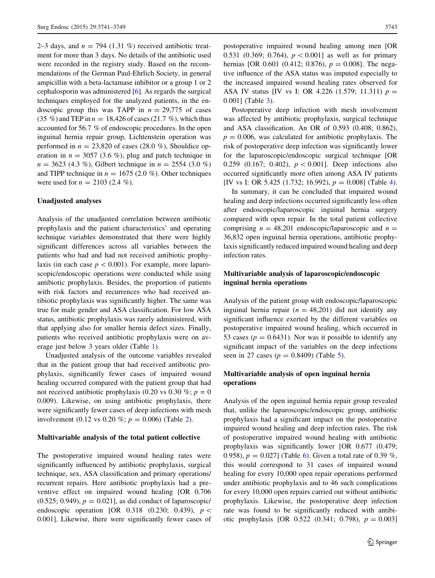2–3 days, and  $n = 794$  (1.31 %) received antibiotic treatment for more than 3 days. No details of the antibiotic used were recorded in the registry study. Based on the recommendations of the German Paul-Ehrlich Society, in general ampicillin with a beta-lactamase inhibitor or a group 1 or 2 cephalosporin was administered [[6\]](#page-8-0). As regards the surgical techniques employed for the analyzed patients, in the endoscopic group this was TAPP in  $n = 29,775$  of cases (35 %) and TEP in  $n = 18,426$  of cases (21.7 %), which thus accounted for 56.7 % of endoscopic procedures. In the open inguinal hernia repair group, Lichtenstein operation was performed in  $n = 23,820$  of cases (28.0 %), Shouldice operation in  $n = 3057$  (3.6 %), plug and patch technique in  $n = 3623$  (4.3 %), Gilbert technique in  $n = 2554$  (3.0 %) and TIPP technique in  $n = 1675 (2.0 %)$ . Other techniques were used for  $n = 2103 (2.4 %)$ .

#### Unadjusted analyses

Analysis of the unadjusted correlation between antibiotic prophylaxis and the patient characteristics' and operating technique variables demonstrated that there were highly significant differences across all variables between the patients who had and had not received antibiotic prophylaxis (in each case  $p < 0.001$ ). For example, more laparoscopic/endoscopic operations were conducted while using antibiotic prophylaxis. Besides, the proportion of patients with risk factors and recurrences who had received antibiotic prophylaxis was significantly higher. The same was true for male gender and ASA classification. For low ASA status, antibiotic prophylaxis was rarely administered, with that applying also for smaller hernia defect sizes. Finally, patients who received antibiotic prophylaxis were on average just below 3 years older (Table [1\)](#page-3-0).

Unadjusted analysis of the outcome variables revealed that in the patient group that had received antibiotic prophylaxis, significantly fewer cases of impaired wound healing occurred compared with the patient group that had not received antibiotic prophylaxis (0.20 vs 0.30 %;  $p = 0$ ) 0.009). Likewise, on using antibiotic prophylaxis, there were significantly fewer cases of deep infections with mesh involvement (0.12 vs 0.20 %;  $p = 0.006$ ) (Table [2\)](#page-3-0).

#### Multivariable analysis of the total patient collective

The postoperative impaired wound healing rates were significantly influenced by antibiotic prophylaxis, surgical technique, sex, ASA classification and primary operations/ recurrent repairs. Here antibiotic prophylaxis had a preventive effect on impaired wound healing [OR 0.706  $(0.525; 0.949), p = 0.021$ , as did conduct of laparoscopic/ endoscopic operation [OR 0.318 (0.230; 0.439),  $p <$ 0.001]. Likewise, there were significantly fewer cases of postoperative impaired wound healing among men [OR 0.531 (0.369; 0.764),  $p < 0.001$  as well as for primary hernias [OR 0.601 (0.412; 0.876),  $p = 0.008$ ]. The negative influence of the ASA status was imputed especially to the increased impaired wound healing rates observed for ASA IV status [IV vs I: OR 4.226 (1.579; 11.311)  $p =$ 0.001] (Table [3\)](#page-4-0).

Postoperative deep infection with mesh involvement was affected by antibiotic prophylaxis, surgical technique and ASA classification. An OR of 0.593 (0.408; 0.862),  $p = 0.006$ , was calculated for antibiotic prophylaxis. The risk of postoperative deep infection was significantly lower for the laparoscopic/endoscopic surgical technique [OR 0.259 (0.167; 0.402),  $p < 0.001$ . Deep infections also occurred significantly more often among ASA IV patients [IV vs I: OR 5.[4](#page-4-0)25 (1.732; 16.992),  $p = 0.008$ ] (Table 4).

In summary, it can be concluded that impaired wound healing and deep infections occurred significantly less often after endoscopic/laparoscopic inguinal hernia surgery compared with open repair. In the total patient collective comprising  $n = 48,201$  endoscopic/laparoscopic and  $n =$ 36,832 open inguinal hernia operations, antibiotic prophylaxis significantly reduced impaired wound healing and deep infection rates.

# Multivariable analysis of laparoscopic/endoscopic inguinal hernia operations

Analysis of the patient group with endoscopic/laparoscopic inguinal hernia repair ( $n = 48,201$ ) did not identify any significant influence exerted by the different variables on postoperative impaired wound healing, which occurred in 53 cases ( $p = 0.6431$ ). Nor was it possible to identify any significant impact of the variables on the deep infections seen in 27 cases ( $p = 0.8409$ ) (Table [5](#page-4-0)).

# Multivariable analysis of open inguinal hernia operations

Analysis of the open inguinal hernia repair group revealed that, unlike the laparoscopic/endoscopic group, antibiotic prophylaxis had a significant impact on the postoperative impaired wound healing and deep infection rates. The risk of postoperative impaired wound healing with antibiotic prophylaxis was significantly lower [OR 0.677 (0.479; 0.958),  $p = 0.027$  (Table [6\)](#page-5-0). Given a total rate of 0.39 %, this would correspond to 31 cases of impaired wound healing for every 10,000 open repair operations performed under antibiotic prophylaxis and to 46 such complications for every 10,000 open repairs carried out without antibiotic prophylaxis. Likewise, the postoperative deep infection rate was found to be significantly reduced with antibiotic prophylaxis [OR 0.522 (0.341; 0.798),  $p = 0.003$ ]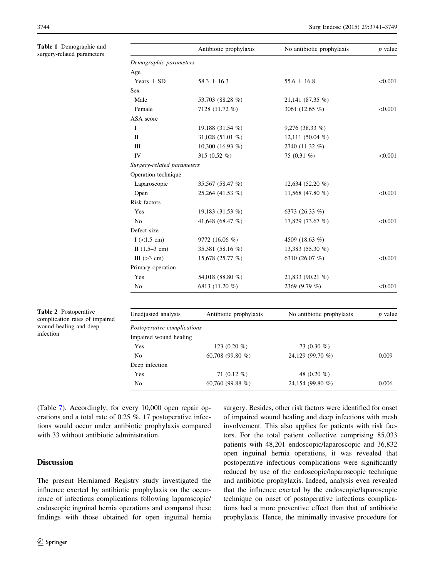<span id="page-3-0"></span>Table 1 Demographic and surgery-related parameters

|                            | Antibiotic prophylaxis | No antibiotic prophylaxis | $p$ value |
|----------------------------|------------------------|---------------------------|-----------|
| Demographic parameters     |                        |                           |           |
| Age                        |                        |                           |           |
| Years $\pm$ SD             | $58.3 \pm 16.3$        | $55.6 \pm 16.8$           | < 0.001   |
| Sex                        |                        |                           |           |
| Male                       | 53,703 (88.28 %)       | 21,141 (87.35 %)          |           |
| Female                     | 7128 (11.72 %)         | 3061 (12.65 %)            | < 0.001   |
| ASA score                  |                        |                           |           |
| I                          | 19,188 (31.54 %)       | $9,276$ (38.33 %)         |           |
| H                          | 31,028 $(51.01\%$      | 12,111 $(50.04\%)$        |           |
| $\mathbf{III}$             | 10,300 (16.93 $%$ )    | 2740 (11.32 %)            |           |
| IV                         | 315 (0.52 %)           | 75 (0.31 $%$ )            | < 0.001   |
| Surgery-related parameters |                        |                           |           |
| Operation technique        |                        |                           |           |
| Laparoscopic               | 35,567 (58.47 %)       | 12,634 (52.20 %)          |           |
| Open                       | 25,264 (41.53 %)       | 11,568 (47.80 %)          | < 0.001   |
| Risk factors               |                        |                           |           |
| Yes                        | 19,183 (31.53 %)       | 6373 (26.33 %)            |           |
| N <sub>o</sub>             | 41,648 (68.47 %)       | 17,829 (73.67 %)          | < 0.001   |
| Defect size                |                        |                           |           |
| $I$ (<1.5 cm)              | 9772 (16.06 %)         | 4509 (18.63 %)            |           |
| II $(1.5-3$ cm)            | 35,381 (58.16 %)       | 13,383 (55.30 %)          |           |
| III $(>3$ cm)              | 15,678 (25.77 %)       | 6310 (26.07 %)            | < 0.001   |
| Primary operation          |                        |                           |           |
| Yes                        | 54,018 (88.80 %)       | 21,833 (90.21 %)          |           |
| N <sub>0</sub>             | 6813 (11.20 %)         | 2369 (9.79 %)             | < 0.001   |
| Unadjusted analysis        | Antibiotic prophylaxis | No antibiotic prophylaxis | $p$ value |

| <b>Table 2</b> Postoperative   |
|--------------------------------|
| complication rates of impaired |
| wound healing and deep         |
| infection                      |

| Unadjusted analysis                | Antibiotic prophylaxis | No antibiotic prophylaxis | $p$ value |
|------------------------------------|------------------------|---------------------------|-----------|
| <i>Postoperative complications</i> |                        |                           |           |
| Impaired wound healing             |                        |                           |           |
| Yes                                | 123 $(0.20\%$          | 73 $(0.30\%)$             |           |
| No                                 | 60,708 (99.80 %)       | 24,129 (99.70 %)          | 0.009     |
| Deep infection                     |                        |                           |           |
| Yes                                | 71 $(0.12\%)$          | 48 (0.20 $%$ )            |           |
| N <sub>0</sub>                     | $60,760$ (99.88 %)     | 24,154 (99.80 %)          | 0.006     |

(Table [7](#page-5-0)). Accordingly, for every 10,000 open repair operations and a total rate of 0.25 %, 17 postoperative infections would occur under antibiotic prophylaxis compared with 33 without antibiotic administration.

# Discussion

The present Herniamed Registry study investigated the influence exerted by antibiotic prophylaxis on the occurrence of infectious complications following laparoscopic/ endoscopic inguinal hernia operations and compared these findings with those obtained for open inguinal hernia surgery. Besides, other risk factors were identified for onset of impaired wound healing and deep infections with mesh involvement. This also applies for patients with risk factors. For the total patient collective comprising 85,033 patients with 48,201 endoscopic/laparoscopic and 36,832 open inguinal hernia operations, it was revealed that postoperative infectious complications were significantly reduced by use of the endoscopic/laparoscopic technique and antibiotic prophylaxis. Indeed, analysis even revealed that the influence exerted by the endoscopic/laparoscopic technique on onset of postoperative infectious complications had a more preventive effect than that of antibiotic prophylaxis. Hence, the minimally invasive procedure for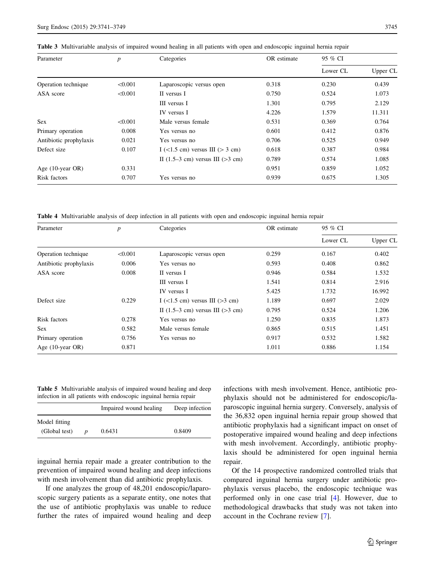<span id="page-4-0"></span>Surg Endosc (2015) 29:3741–3749 3745

| Parameter              | $\boldsymbol{p}$ | Categories                           | OR estimate | 95 % CI  |          |
|------------------------|------------------|--------------------------------------|-------------|----------|----------|
|                        |                  |                                      |             | Lower CL | Upper CL |
| Operation technique    | < 0.001          | Laparoscopic versus open             | 0.318       | 0.230    | 0.439    |
| ASA score              | < 0.001          | II versus I                          | 0.750       | 0.524    | 1.073    |
|                        |                  | III versus I                         | 1.301       | 0.795    | 2.129    |
|                        |                  | IV versus I                          | 4.226       | 1.579    | 11.311   |
| <b>Sex</b>             | < 0.001          | Male versus female                   | 0.531       | 0.369    | 0.764    |
| Primary operation      | 0.008            | Yes versus no                        | 0.601       | 0.412    | 0.876    |
| Antibiotic prophylaxis | 0.021            | Yes versus no                        | 0.706       | 0.525    | 0.949    |
| Defect size            | 0.107            | I $(<1.5$ cm) versus III $(>3$ cm)   | 0.618       | 0.387    | 0.984    |
|                        |                  | II $(1.5-3$ cm) versus III $(>3$ cm) | 0.789       | 0.574    | 1.085    |
| Age $(10$ -year OR)    | 0.331            |                                      | 0.951       | 0.859    | 1.052    |
| Risk factors           | 0.707            | Yes versus no                        | 0.939       | 0.675    | 1.305    |

Table 3 Multivariable analysis of impaired wound healing in all patients with open and endoscopic inguinal hernia repair

Table 4 Multivariable analysis of deep infection in all patients with open and endoscopic inguinal hernia repair

| Parameter              | $\boldsymbol{p}$ | Categories                           | OR estimate | 95 % CI  |          |
|------------------------|------------------|--------------------------------------|-------------|----------|----------|
|                        |                  |                                      |             | Lower CL | Upper CL |
| Operation technique    | < 0.001          | Laparoscopic versus open             | 0.259       | 0.167    | 0.402    |
| Antibiotic prophylaxis | 0.006            | Yes versus no                        | 0.593       | 0.408    | 0.862    |
| ASA score              | 0.008            | II versus I                          | 0.946       | 0.584    | 1.532    |
|                        |                  | III versus I                         | 1.541       | 0.814    | 2.916    |
|                        |                  | IV versus I                          | 5.425       | 1.732    | 16.992   |
| Defect size            | 0.229            | I $(<1.5$ cm) versus III $(>3$ cm)   | 1.189       | 0.697    | 2.029    |
|                        |                  | II $(1.5-3$ cm) versus III $(>3$ cm) | 0.795       | 0.524    | 1.206    |
| Risk factors           | 0.278            | Yes versus no                        | 1.250       | 0.835    | 1.873    |
| <b>Sex</b>             | 0.582            | Male versus female                   | 0.865       | 0.515    | 1.451    |
| Primary operation      | 0.756            | Yes versus no                        | 0.917       | 0.532    | 1.582    |
| Age $(10$ -year OR)    | 0.871            |                                      | 1.011       | 0.886    | 1.154    |

Table 5 Multivariable analysis of impaired wound healing and deep infection in all patients with endoscopic inguinal hernia repair

|               |                  | Impaired wound healing | Deep infection |
|---------------|------------------|------------------------|----------------|
| Model fitting |                  |                        |                |
| (Global test) | $\boldsymbol{n}$ | 0.6431                 | 0.8409         |

inguinal hernia repair made a greater contribution to the prevention of impaired wound healing and deep infections with mesh involvement than did antibiotic prophylaxis.

If one analyzes the group of 48,201 endoscopic/laparoscopic surgery patients as a separate entity, one notes that the use of antibiotic prophylaxis was unable to reduce further the rates of impaired wound healing and deep

infections with mesh involvement. Hence, antibiotic prophylaxis should not be administered for endoscopic/laparoscopic inguinal hernia surgery. Conversely, analysis of the 36,832 open inguinal hernia repair group showed that antibiotic prophylaxis had a significant impact on onset of postoperative impaired wound healing and deep infections with mesh involvement. Accordingly, antibiotic prophylaxis should be administered for open inguinal hernia repair.

Of the 14 prospective randomized controlled trials that compared inguinal hernia surgery under antibiotic prophylaxis versus placebo, the endoscopic technique was performed only in one case trial [\[4](#page-8-0)]. However, due to methodological drawbacks that study was not taken into account in the Cochrane review [[7\]](#page-8-0).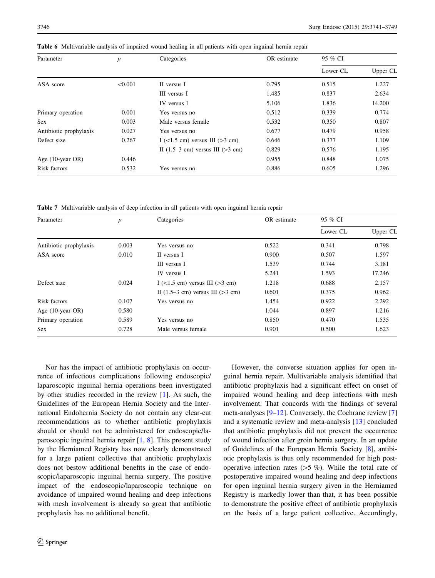| Parameter              | $\boldsymbol{p}$ | Categories                           | OR estimate | 95 % CI  |          |
|------------------------|------------------|--------------------------------------|-------------|----------|----------|
|                        |                  |                                      |             | Lower CL | Upper CL |
| ASA score              | < 0.001          | II versus I                          | 0.795       | 0.515    | 1.227    |
|                        |                  | III versus I                         | 1.485       | 0.837    | 2.634    |
|                        |                  | IV versus I                          | 5.106       | 1.836    | 14.200   |
| Primary operation      | 0.001            | Yes versus no                        | 0.512       | 0.339    | 0.774    |
| <b>Sex</b>             | 0.003            | Male versus female                   | 0.532       | 0.350    | 0.807    |
| Antibiotic prophylaxis | 0.027            | Yes versus no                        | 0.677       | 0.479    | 0.958    |
| Defect size            | 0.267            | I $(<1.5$ cm) versus III $(>3$ cm)   | 0.646       | 0.377    | 1.109    |
|                        |                  | II $(1.5-3$ cm) versus III $(>3$ cm) | 0.829       | 0.576    | 1.195    |
| Age $(10$ -year OR)    | 0.446            |                                      | 0.955       | 0.848    | 1.075    |
| Risk factors           | 0.532            | Yes versus no                        | 0.886       | 0.605    | 1.296    |

<span id="page-5-0"></span>Table 6 Multivariable analysis of impaired wound healing in all patients with open inguinal hernia repair

Table 7 Multivariable analysis of deep infection in all patients with open inguinal hernia repair

| Parameter              | $\boldsymbol{p}$ | Categories                           | OR estimate | 95 % CI  |          |
|------------------------|------------------|--------------------------------------|-------------|----------|----------|
|                        |                  |                                      |             | Lower CL | Upper CL |
| Antibiotic prophylaxis | 0.003            | Yes versus no                        | 0.522       | 0.341    | 0.798    |
| ASA score              | 0.010            | II versus I                          | 0.900       | 0.507    | 1.597    |
|                        |                  | III versus I                         | 1.539       | 0.744    | 3.181    |
|                        |                  | IV versus I                          | 5.241       | 1.593    | 17.246   |
| Defect size            | 0.024            | I $(<1.5$ cm) versus III $(>3$ cm)   | 1.218       | 0.688    | 2.157    |
|                        |                  | II $(1.5-3$ cm) versus III $(>3$ cm) | 0.601       | 0.375    | 0.962    |
| Risk factors           | 0.107            | Yes versus no                        | 1.454       | 0.922    | 2.292    |
| Age $(10$ -year OR)    | 0.580            |                                      | 1.044       | 0.897    | 1.216    |
| Primary operation      | 0.589            | Yes versus no                        | 0.850       | 0.470    | 1.535    |
| <b>Sex</b>             | 0.728            | Male versus female                   | 0.901       | 0.500    | 1.623    |

Nor has the impact of antibiotic prophylaxis on occurrence of infectious complications following endoscopic/ laparoscopic inguinal hernia operations been investigated by other studies recorded in the review [\[1](#page-7-0)]. As such, the Guidelines of the European Hernia Society and the International Endohernia Society do not contain any clear-cut recommendations as to whether antibiotic prophylaxis should or should not be administered for endoscopic/laparoscopic inguinal hernia repair [[1,](#page-7-0) [8](#page-8-0)]. This present study by the Herniamed Registry has now clearly demonstrated for a large patient collective that antibiotic prophylaxis does not bestow additional benefits in the case of endoscopic/laparoscopic inguinal hernia surgery. The positive impact of the endoscopic/laparoscopic technique on avoidance of impaired wound healing and deep infections with mesh involvement is already so great that antibiotic prophylaxis has no additional benefit.

However, the converse situation applies for open inguinal hernia repair. Multivariable analysis identified that antibiotic prophylaxis had a significant effect on onset of impaired wound healing and deep infections with mesh involvement. That concords with the findings of several meta-analyses [[9–12\]](#page-8-0). Conversely, the Cochrane review [[7\]](#page-8-0) and a systematic review and meta-analysis [[13\]](#page-8-0) concluded that antibiotic prophylaxis did not prevent the occurrence of wound infection after groin hernia surgery. In an update of Guidelines of the European Hernia Society [\[8](#page-8-0)], antibiotic prophylaxis is thus only recommended for high postoperative infection rates ( $>5$  %). While the total rate of postoperative impaired wound healing and deep infections for open inguinal hernia surgery given in the Herniamed Registry is markedly lower than that, it has been possible to demonstrate the positive effect of antibiotic prophylaxis on the basis of a large patient collective. Accordingly,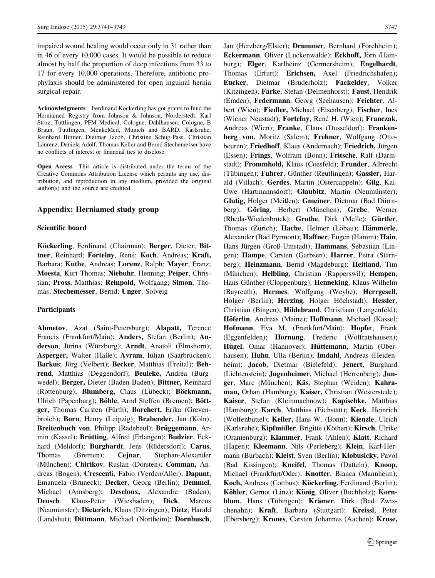impaired wound healing would occur only in 31 rather than in 46 of every 10,000 cases. It would be possible to reduce almost by half the proportion of deep infections from 33 to 17 for every 10,000 operations. Therefore, antibiotic prophylaxis should be administered for open inguinal hernia surgical repair.

Acknowledgments Ferdinand Köckerling has got grants to fund the Herniamed Registry from Johnson & Johnson, Norderstedt, Karl Storz, Tuttlingen, PFM Medical, Cologne, Dahlhausen, Cologne, B Braun, Tuttlingen, MenkeMed, Munich and BARD, Karlsruhe. Reinhard Bittner, Dietmar Jacob, Christine Schug-Pass, Christian Laurenz, Daniela Adolf, Thomas Keller and Bernd Stechemesser have no conflicts of interest or financial ties to disclose.

Open Access This article is distributed under the terms of the Creative Commons Attribution License which permits any use, distribution, and reproduction in any medium, provided the original author(s) and the source are credited.

## Appendix: Herniamed study group

## Scientific board

Köckerling, Ferdinand (Chairman); Berger, Dieter; Bittner, Reinhard; Fortelny, René; Koch, Andreas; Kraft, Barbara; Kuthe, Andreas; Lorenz, Ralph; Mayer, Franz; Moesta, Kurt Thomas; Niebuhr, Henning; Peiper, Christian; Pross, Matthias; Reinpold, Wolfgang; Simon, Thomas; Stechemesser, Bernd; Unger, Solveig

## Participants

Ahmetov, Azat (Saint-Petersburg); Alapatt, Terence Francis (Frankfurt/Main); Anders, Stefan (Berlin); Anderson, Jürina (Würzburg); Arndt, Anatoli (Elmshorn); Asperger, Walter (Halle); Avram, Iulian (Saarbrücken); Barkus; Jörg (Velbert); Becker, Matthias (Freital); Behrend, Matthias (Deggendorf); Beuleke, Andrea (Burgwedel); Berger, Dieter (Baden-Baden); Bittner, Reinhard (Rottenburg); Blumberg, Claus (Lübeck); Böckmann, Ulrich (Papenburg); Böhle, Arnd Steffen (Bremen); Böttger, Thomas Carsten (Fürth); Borchert, Erika (Grevenbroich); Born, Henry (Leipzig); Brabender, Jan (Köln); Breitenbuch von, Philipp (Radebeul); Brüggemann, Armin (Kassel); Brütting, Alfred (Erlangen); Budzier, Eckhard (Meldorf); Burghardt, Jens (Rüdersdorf); Carus, Thomas (Bremen); Cejnar, Stephan-Alexander (München); Chirikov, Ruslan (Dorsten); Comman, Andreas (Bogen); Crescenti, Fabio (Verden/Aller); Dapunt, Emanuela (Bruneck); Decker, Georg (Berlin); Demmel, Michael (Arnsberg); Descloux, Alexandre (Baden); Deusch, Klaus-Peter (Wiesbaden); Dick, Marcus (Neumünster); Dieterich, Klaus (Ditzingen); Dietz, Harald (Landshut); Dittmann, Michael (Northeim); Dornbusch, Jan (Herzberg/Elster); Drummer, Bernhard (Forchheim); Eckermann, Oliver (Luckenwalde); Eckhoff, Jörn /Hamburg); Elger, Karlheinz (Germersheim); Engelhardt, Thomas (Erfurt); Erichsen, Axel (Friedrichshafen); Eucker, Dietmar (Bruderholz); Fackeldey, Volker (Kitzingen); Farke, Stefan (Delmenhorst); Faust, Hendrik (Emden); Federmann, Georg (Seehausen); Feichter, Albert (Wien); Fiedler, Michael (Eisenberg); Fischer, Ines (Wiener Neustadt); Fortelny, René H. (Wien); Franczak, Andreas (Wien); Franke, Claus (Düsseldorf); Frankenberg von, Moritz (Salem); Frehner, Wolfgang (Ottobeuren); Friedhoff, Klaus (Andernach); Friedrich, Jürgen (Essen); Frings, Wolfram (Bonn); Fritsche, Ralf (Darmstadt); Frommhold, Klaus (Coesfeld); Frunder, Albrecht (Tübingen); Fuhrer, Günther (Reutlingen); Gassler, Harald (Villach); Gerdes, Martin (Ostercappeln); Gilg, Kai-Uwe (Hartmannsdorf); Glaubitz, Martin (Neumünster); Glutig, Holger (Meißen); Gmeiner, Dietmar (Bad Dürrnberg); Göring, Herbert (München); Grebe, Werner (Rheda-Wiedenbrück); Grothe, Dirk (Melle); Gürtler, Thomas (Zürich); Hache, Helmer (Löbau); Hämmerle, Alexander (Bad Pyrmont); Haffner, Eugen (Hamm); Hain, Hans-Jürgen (Groß-Umstadt); Hammans, Sebastian (Lingen); Hampe, Carsten (Garbsen); Harrer, Petra (Starnberg); Heinzmann, Bernd (Magdeburg); Heitland, Tim (München); Helbling, Christian (Rapperswil); Hempen, Hans-Günther (Cloppenburg); Henneking, Klaus-Wilhelm (Bayreuth); Hermes, Wolfgang (Weyhe); Herrgesell, Holger (Berlin); Herzing, Holger Höchstadt); Hessler, Christian (Bingen); Hildebrand, Christiaan (Langenfeld); Höferlin, Andreas (Mainz); Hoffmann, Michael (Kassel; Hofmann, Eva M. (Frankfurt/Main); Hopfer, Frank (Eggenfelden); Hornung, Frederic (Wolfratshausen); Hügel, Omar (Hannover); Hüttemann, Martin (Oberhausen); Huhn, Ulla (Berlin); Imdahl, Andreas (Heidenheim); Jacob, Dietmar (Bielefeld); Jenert, Burghard (Lichtenstein); Jugenheimer, Michael (Herrenberg); Junger, Marc (München); Käs, Stephan (Weiden); Kahraman, Orhan (Hamburg); Kaiser, Christian (Westerstede); Kaiser, Stefan (Kleinmachnow); Kapischke, Matthias (Hamburg); Karch, Matthias (Eichstätt); Keck, Heinrich (Wolfenbüttel); Keller, Hans W. (Bonn); Kienzle, Ulrich (Karlsruhe); Kipfmüller, Brigitte (Köthen); Kirsch, Ulrike (Oranienburg); Klammer, Frank (Ahlen); Klatt, Richard (Hagen); Kleemann, Nils (Perleberg); Klein, Karl-Hermann (Burbach); Kleist, Sven (Berlin); Klobusicky, Pavol (Bad Kissingen); Kneifel, Thomas (Datteln); Knoop, Michael (Frankfurt/Oder); Knotter, Bianca (Mannheim); Koch, Andreas (Cottbus); Köckerling, Ferdinand (Berlin); Köhler, Gernot (Linz); König, Oliver (Buchholz); Kornblum, Hans (Tübingen); Krämer, Dirk (Bad Zwischenahn); Kraft, Barbara (Stuttgart); Kreissl, Peter (Ebersberg); Krones, Carsten Johannes (Aachen); Kruse,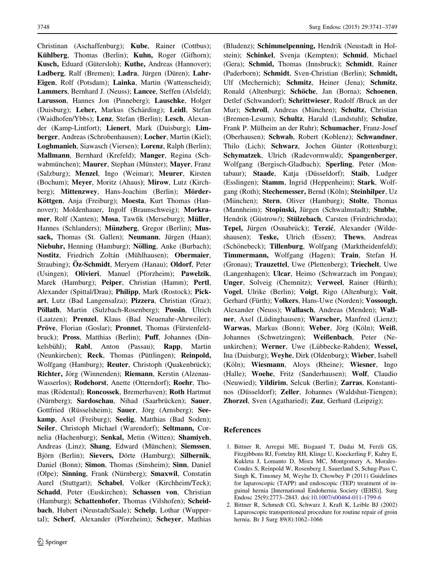<span id="page-7-0"></span>Christinan (Aschaffenburg); Kube, Rainer (Cottbus); Kühlberg, Thomas (Berlin); Kuhn, Roger (Gifhorn); Kusch, Eduard (Gütersloh); Kuthe, Andreas (Hannover); Ladberg, Ralf (Bremen); Ladra, Jürgen (Düren); Lahr-Eigen, Rolf (Potsdam); Lainka, Martin (Wattenscheid); Lammers, Bernhard J. (Neuss); Lancee, Steffen (Alsfeld); Larusson, Hannes Jon (Pinneberg); Lauschke, Holger (Duisburg); Leher, Markus (Schärding); Leidl, Stefan (Waidhofen/Ybbs); Lenz, Stefan (Berlin); Lesch, Alexander (Kamp-Lintfort); Lienert, Mark (Duisburg); Limberger, Andreas (Schrobenhausen); Locher, Martin (Kiel); Loghmanieh, Siawasch (Viersen); Lorenz, Ralph (Berlin); Mallmann, Bernhard (Krefeld); Manger, Regina (Schwabmünchen); Maurer, Stephan (Münster); Mayer, Franz (Salzburg); Menzel, Ingo (Weimar); Meurer, Kirsten (Bochum); Meyer, Moritz (Ahaus); Mirow, Lutz (Kirchberg); Mittenzwey, Hans-Joachim (Berlin); Mörder-Köttgen, Anja (Freiburg); Moesta, Kurt Thomas (Hannover); Moldenhauer, Ingolf (Braunschweig); Morkramer, Rolf (Xanten); Mosa, Tawfik (Merseburg); Müller, Hannes (Schlanders); Münzberg, Gregor (Berlin); Mussack, Thomas (St. Gallen); Neumann, Jürgen (Haan); Niebuhr, Henning (Hamburg); Nölling, Anke (Burbach); Nostitz, Friedrich Zoltán (Mühlhausen); Obermaier, Straubing); Öz-Schmidt, Meryem (Hanau); Oldorf, Peter (Usingen); Olivieri, Manuel (Pforzheim); Pawelzik, Marek (Hamburg); Peiper, Christian (Hamm); Pertl, Alexander (Spittal/Drau); Philipp, Mark (Rostock); Pickart, Lutz (Bad Langensalza); Pizzera, Christian (Graz); Pöllath, Martin (Sulzbach-Rosenberg); Possin, Ulrich (Laatzen); Prenzel, Klaus (Bad Neuenahr-Ahrweiler); Pröve, Florian (Goslar); Pronnet, Thomas (Fürstenfeldbruck); Pross, Matthias (Berlin); Puff, Johannes (Dinkelsbühl); Rabl, Anton (Passau); Rapp, Martin (Neunkirchen); Reck, Thomas (Püttlingen); Reinpold, Wolfgang (Hamburg); Reuter, Christoph (Quakenbrück); Richter, Jörg (Winnenden); Riemann, Kerstin (Alzenau-Wasserlos); Rodehorst, Anette (Otterndorf); Roehr, Thomas (Rödental); Roncossek, Bremerhaven); Roth Hartmut (Nürnberg); Sardoschau, Nihad (Saarbrücken); Sauer, Gottfried (Rüsselsheim); Sauer, Jörg (Arnsberg); Seekamp, Axel (Freiburg); Seelig, Matthias (Bad Soden); Seiler, Christoph Michael (Warendorf); Seltmann, Cornelia (Hachenburg); Senkal, Metin (Witten); Shamiyeh, Andreas (Linz); Shang, Edward (München); Siemssen, Björn (Berlin); Sievers, Dörte (Hamburg); Silbernik, Daniel (Bonn); Simon, Thomas (Sinsheim); Sinn, Daniel (Olpe); Sinning, Frank (Nürnberg); Smaxwil, Constatin Aurel (Stuttgart); Schabel, Volker (Kirchheim/Teck); Schadd, Peter (Euskirchen); Schassen von, Christian (Hamburg); Schattenhofer, Thomas (Vilshofen); Scheidbach, Hubert (Neustadt/Saale); Schelp, Lothar (Wuppertal); Scherf, Alexander (Pforzheim); Scheyer, Mathias (Bludenz); Schimmelpenning, Hendrik (Neustadt in Holstein); Schinkel, Svenja (Kempten); Schmid, Michael (Gera); Schmid, Thomas (Innsbruck); Schmidt, Rainer (Paderborn); Schmidt, Sven-Christian (Berlin); Schmidt, Ulf (Mechernich); Schmitz, Heiner (Jena); Schmitz, Ronald (Altenburg); Schöche, Jan (Borna); Schoenen, Detlef (Schwandorf); Schrittwieser, Rudolf /Bruck an der Mur); Schroll, Andreas (München); Schultz, Christian (Bremen-Lesum); Schultz, Harald (Landstuhl); Schulze, Frank P. Mülheim an der Ruhr); Schumacher, Franz-Josef (Oberhausen); Schwab, Robert (Koblenz); Schwandner, Thilo (Lich); Schwarz, Jochen Günter (Rottenburg); Schymatzek, Ulrich (Radevormwald); Spangenberger, Wolfgang (Bergisch-Gladbach); Sperling, Peter (Montabaur); Staade, Katja (Düsseldorf); Staib, Ludger (Esslingen); Stamm, Ingrid (Heppenheim); Stark, Wolfgang (Roth); Stechemesser, Bernd (Köln); Steinhilper, Uz (München); Stern, Oliver (Hamburg); Stolte, Thomas (Mannheim); Stopinski, Jürgen (Schwalmstadt); Stubbe, Hendrik (Güstrow/); Stülzebach, Carsten (Friedrichroda); Tepel, Jürgen (Osnabrück); Terzić, Alexander (Wildeshausen); Teske, Ulrich (Essen); Thews, Andreas (Schönebeck); Tillenburg, Wolfgang (Marktheidenfeld); Timmermann, Wolfgang (Hagen); Train, Stefan H. (Gronau); Trauzettel, Uwe (Plettenberg); Triechelt, Uwe (Langenhagen); Ulcar, Heimo (Schwarzach im Pongau); Unger, Solveig (Chemnitz); Verweel, Rainer (Hürth); Vogel, Ulrike (Berlin); Voigt, Rigo (Altenburg); Voit, Gerhard (Fürth); Volkers, Hans-Uwe (Norden); Vossough, Alexander (Neuss); Wallasch, Andreas (Menden); Wallner, Axel (Lüdinghausen); Warscher, Manfred (Lienz); Warwas, Markus (Bonn); Weber, Jörg (Köln); Weiß, Johannes (Schwetzingen); Weißenbach, Peter (Neunkirchen); Werner, Uwe (Lübbecke-Rahden); Wessel, Ina (Duisburg); Weyhe, Dirk (Oldenburg); Wieber, Isabell (Köln); Wiesmann, Aloys (Rheine); Wiesner, Ingo (Halle); Woehe, Fritz (Sanderhausen); Wolf, Claudio (Neuwied); Yildirim, Selcuk (Berlin); Zarras, Konstantinos (Düsseldorf); Zeller, Johannes (Waldshut-Tiengen); Zhorzel, Sven (Agatharied); Zuz, Gerhard (Leipzig);

## References

- 1. Bittner R, Arregui ME, Bisgaard T, Dudai M, Ferzli GS, Fitzgibbons RJ, Fortelny RH, Klinge U, Koeckerling F, Kuhry E, Kukleta J, Lomanto D, Misra MC, Montgomery A, Morales-Condes S, Reinpold W, Rosenberg J, Sauerland S, Schug-Pass C, Singh K, Timoney M, Weyhe D, Chowbey P (2011) Guidelines for laparoscopic (TAPP) and endoscopic (TEP) treatment of inguinal hernia [International Endohernia Society (IEHS)]. Surg Endosc 25(9):2773–2843. doi:[10.1007/s00464-011-1799-6](http://dx.doi.org/10.1007/s00464-011-1799-6)
- 2. Bittner R, Schmedt CG, Schwarz J, Kraft K, Leible BJ (2002) Laparoscopic transperitoneal procedure for routine repair of groin hernia. Br J Surg 89(8):1062–1066